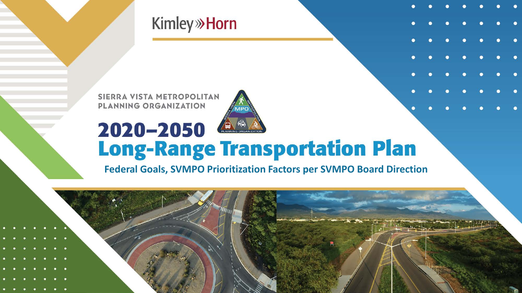**Kimley**» Horn

SIERRA VISTA METROPOLITAN PLANNING ORGANIZATION



## 2020-2050 **Long-Range Transportation Plan**

**Federal Goals, SVMPO Prioritization Factors per SVMPO Board Direction**

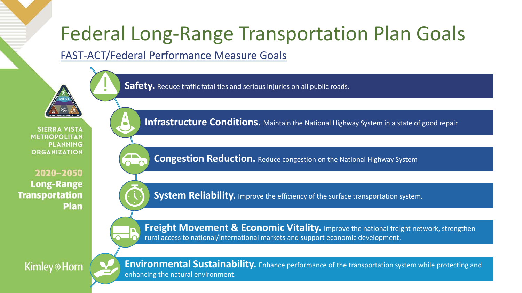## Federal Long-Range Transportation Plan Goals

FAST-ACT/Federal Performance Measure Goals

**Safety.** Reduce traffic fatalities and serious injuries on all public roads.

**SIERRA VISTA METROPOLITAN PLANNING ORGANIZATION** 

2020-2050 **Long-Range Transportation Plan** 



**Infrastructure Conditions.** Maintain the National Highway System in a state of good repair

**Congestion Reduction.** Reduce congestion on the National Highway System

**System Reliability.** Improve the efficiency of the surface transportation system.



**Freight Movement & Economic Vitality.** Improve the national freight network, strengthen rural access to national/international markets and support economic development.

**Kimley**<sup>»</sup> Horn